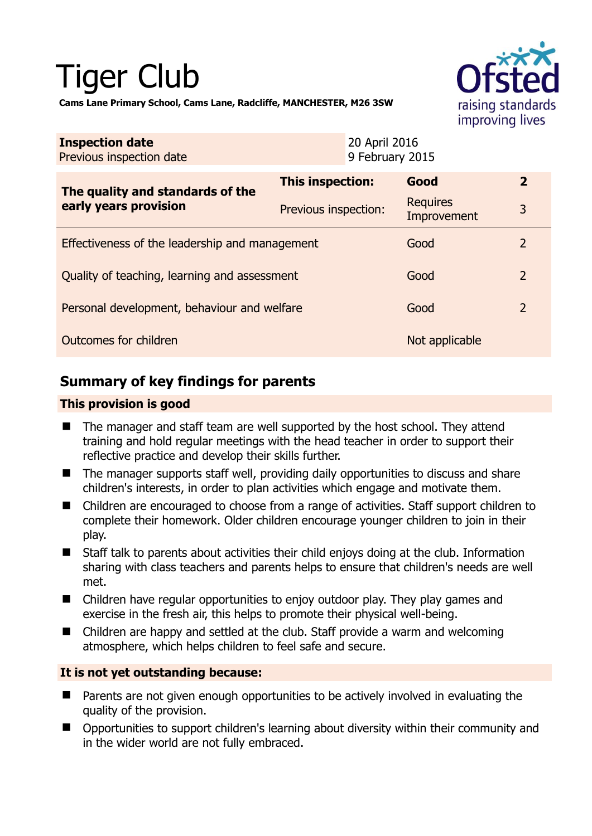# Tiger Club



**Cams Lane Primary School, Cams Lane, Radcliffe, MANCHESTER, M26 3SW** 

| <b>Inspection date</b><br>Previous inspection date        |                      | 20 April 2016<br>9 February 2015 |                                |                |
|-----------------------------------------------------------|----------------------|----------------------------------|--------------------------------|----------------|
| The quality and standards of the<br>early years provision | This inspection:     |                                  | Good                           | $\mathbf{2}$   |
|                                                           | Previous inspection: |                                  | <b>Requires</b><br>Improvement | 3              |
| Effectiveness of the leadership and management            |                      |                                  | Good                           | $\overline{2}$ |
| Quality of teaching, learning and assessment              |                      |                                  | Good                           | $\overline{2}$ |
| Personal development, behaviour and welfare               |                      |                                  | Good                           | 2              |
| Outcomes for children                                     |                      |                                  | Not applicable                 |                |

# **Summary of key findings for parents**

#### **This provision is good**

- The manager and staff team are well supported by the host school. They attend training and hold regular meetings with the head teacher in order to support their reflective practice and develop their skills further.
- The manager supports staff well, providing daily opportunities to discuss and share children's interests, in order to plan activities which engage and motivate them.
- Children are encouraged to choose from a range of activities. Staff support children to complete their homework. Older children encourage younger children to join in their play.
- Staff talk to parents about activities their child enjoys doing at the club. Information sharing with class teachers and parents helps to ensure that children's needs are well met.
- Children have regular opportunities to enjoy outdoor play. They play games and exercise in the fresh air, this helps to promote their physical well-being.
- Children are happy and settled at the club. Staff provide a warm and welcoming atmosphere, which helps children to feel safe and secure.

## **It is not yet outstanding because:**

- Parents are not given enough opportunities to be actively involved in evaluating the quality of the provision.
- Opportunities to support children's learning about diversity within their community and in the wider world are not fully embraced.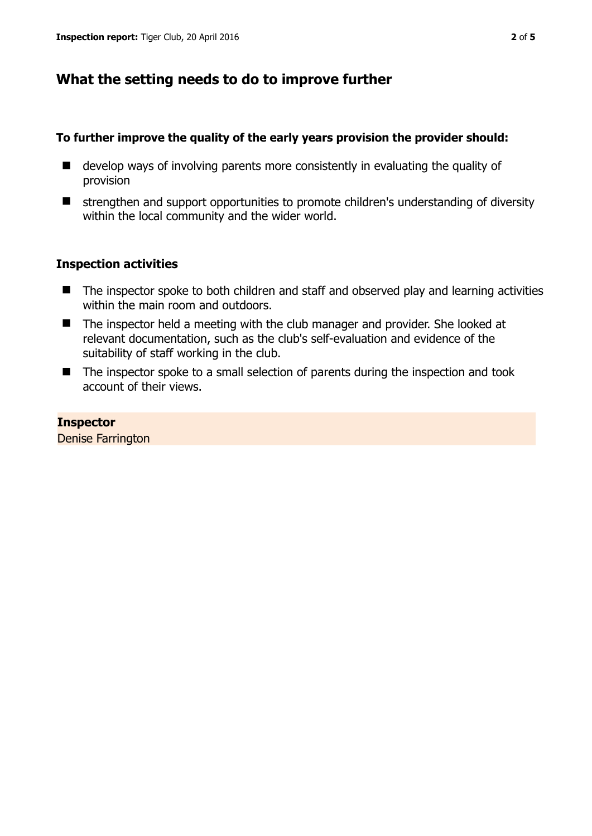## **What the setting needs to do to improve further**

#### **To further improve the quality of the early years provision the provider should:**

- $\blacksquare$  develop ways of involving parents more consistently in evaluating the quality of provision
- $\blacksquare$  strengthen and support opportunities to promote children's understanding of diversity within the local community and the wider world.

## **Inspection activities**

- The inspector spoke to both children and staff and observed play and learning activities within the main room and outdoors.
- The inspector held a meeting with the club manager and provider. She looked at relevant documentation, such as the club's self-evaluation and evidence of the suitability of staff working in the club.
- The inspector spoke to a small selection of parents during the inspection and took account of their views.

#### **Inspector**

Denise Farrington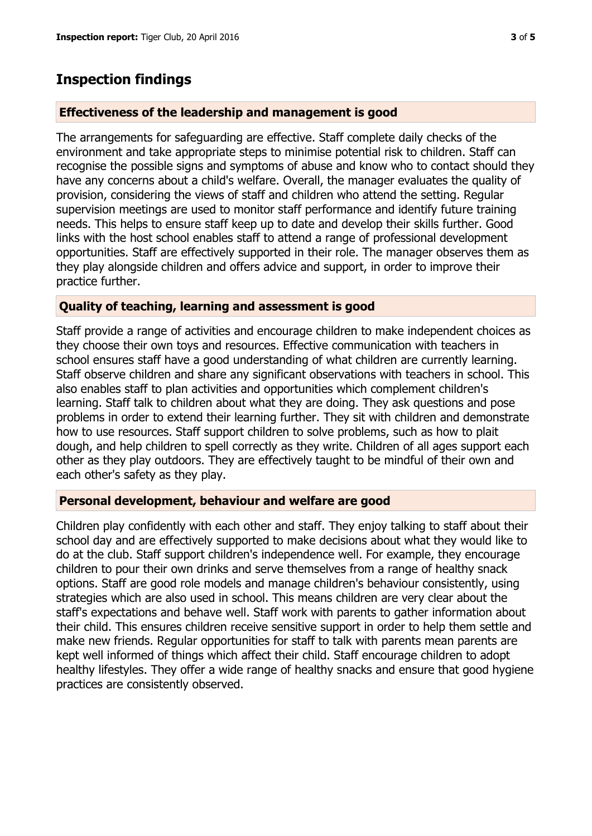# **Inspection findings**

#### **Effectiveness of the leadership and management is good**

The arrangements for safeguarding are effective. Staff complete daily checks of the environment and take appropriate steps to minimise potential risk to children. Staff can recognise the possible signs and symptoms of abuse and know who to contact should they have any concerns about a child's welfare. Overall, the manager evaluates the quality of provision, considering the views of staff and children who attend the setting. Regular supervision meetings are used to monitor staff performance and identify future training needs. This helps to ensure staff keep up to date and develop their skills further. Good links with the host school enables staff to attend a range of professional development opportunities. Staff are effectively supported in their role. The manager observes them as they play alongside children and offers advice and support, in order to improve their practice further.

## **Quality of teaching, learning and assessment is good**

Staff provide a range of activities and encourage children to make independent choices as they choose their own toys and resources. Effective communication with teachers in school ensures staff have a good understanding of what children are currently learning. Staff observe children and share any significant observations with teachers in school. This also enables staff to plan activities and opportunities which complement children's learning. Staff talk to children about what they are doing. They ask questions and pose problems in order to extend their learning further. They sit with children and demonstrate how to use resources. Staff support children to solve problems, such as how to plait dough, and help children to spell correctly as they write. Children of all ages support each other as they play outdoors. They are effectively taught to be mindful of their own and each other's safety as they play.

#### **Personal development, behaviour and welfare are good**

Children play confidently with each other and staff. They enjoy talking to staff about their school day and are effectively supported to make decisions about what they would like to do at the club. Staff support children's independence well. For example, they encourage children to pour their own drinks and serve themselves from a range of healthy snack options. Staff are good role models and manage children's behaviour consistently, using strategies which are also used in school. This means children are very clear about the staff's expectations and behave well. Staff work with parents to gather information about their child. This ensures children receive sensitive support in order to help them settle and make new friends. Regular opportunities for staff to talk with parents mean parents are kept well informed of things which affect their child. Staff encourage children to adopt healthy lifestyles. They offer a wide range of healthy snacks and ensure that good hygiene practices are consistently observed.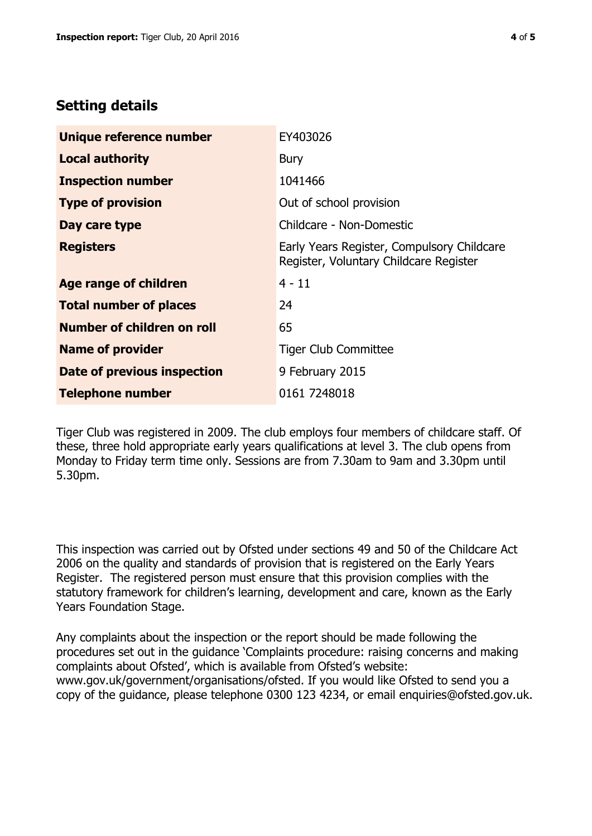## **Setting details**

| Unique reference number       | EY403026                                                                             |  |
|-------------------------------|--------------------------------------------------------------------------------------|--|
| <b>Local authority</b>        | <b>Bury</b>                                                                          |  |
| <b>Inspection number</b>      | 1041466                                                                              |  |
| <b>Type of provision</b>      | Out of school provision                                                              |  |
| Day care type                 | Childcare - Non-Domestic                                                             |  |
| <b>Registers</b>              | Early Years Register, Compulsory Childcare<br>Register, Voluntary Childcare Register |  |
| <b>Age range of children</b>  | $4 - 11$                                                                             |  |
| <b>Total number of places</b> | 24                                                                                   |  |
| Number of children on roll    | 65                                                                                   |  |
| <b>Name of provider</b>       | <b>Tiger Club Committee</b>                                                          |  |
| Date of previous inspection   | 9 February 2015                                                                      |  |
| <b>Telephone number</b>       | 0161 7248018                                                                         |  |

Tiger Club was registered in 2009. The club employs four members of childcare staff. Of these, three hold appropriate early years qualifications at level 3. The club opens from Monday to Friday term time only. Sessions are from 7.30am to 9am and 3.30pm until 5.30pm.

This inspection was carried out by Ofsted under sections 49 and 50 of the Childcare Act 2006 on the quality and standards of provision that is registered on the Early Years Register. The registered person must ensure that this provision complies with the statutory framework for children's learning, development and care, known as the Early Years Foundation Stage.

Any complaints about the inspection or the report should be made following the procedures set out in the guidance 'Complaints procedure: raising concerns and making complaints about Ofsted', which is available from Ofsted's website: www.gov.uk/government/organisations/ofsted. If you would like Ofsted to send you a copy of the guidance, please telephone 0300 123 4234, or email enquiries@ofsted.gov.uk.